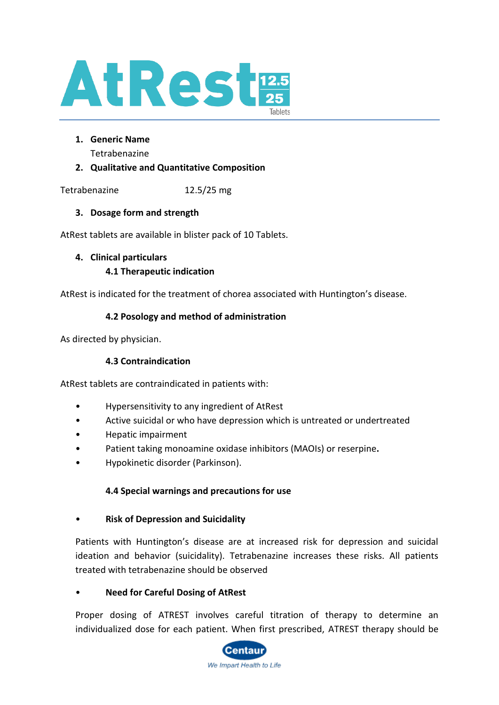

**1. Generic Name** 

Tetrabenazine

## **2. Qualitative and Quantitative Composition**

Tetrabenazine 12.5/25 mg

## **3. Dosage form and strength**

AtRest tablets are available in blister pack of 10 Tablets.

### **4. Clinical particulars**

## **4.1 Therapeutic indication**

AtRest is indicated for the treatment of chorea associated with Huntington's disease.

## **4.2 Posology and method of administration**

As directed by physician.

## **4.3 Contraindication**

AtRest tablets are contraindicated in patients with:

- Hypersensitivity to any ingredient of AtRest
- Active suicidal or who have depression which is untreated or undertreated
- Hepatic impairment
- Patient taking monoamine oxidase inhibitors (MAOIs) or reserpine**.**
- Hypokinetic disorder (Parkinson).

### **4.4 Special warnings and precautions for use**

• **Risk of Depression and Suicidality**

Patients with Huntington's disease are at increased risk for depression and suicidal ideation and behavior (suicidality). Tetrabenazine increases these risks. All patients treated with tetrabenazine should be observed

### • **Need for Careful Dosing of AtRest**

Proper dosing of ATREST involves careful titration of therapy to determine an individualized dose for each patient. When first prescribed, ATREST therapy should be

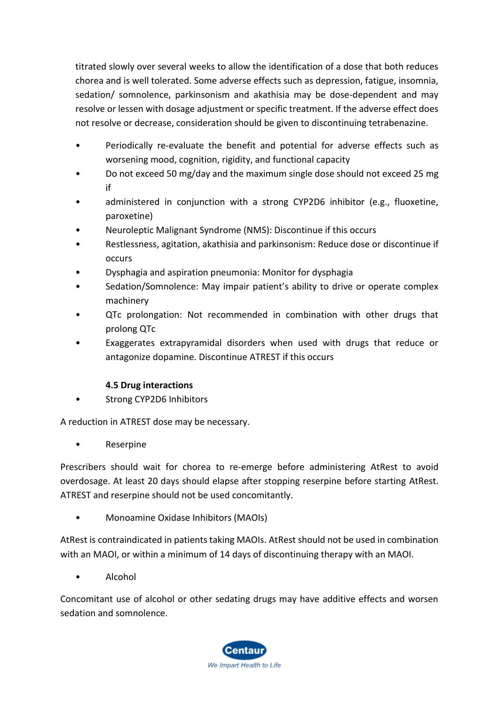titrated slowly over several weeks to allow the identification of a dose that both reduces chorea and is well tolerated. Some adverse effects such as depression, fatigue, insomnia, sedation/ somnolence, parkinsonism and akathisia may be dose-dependent and may resolve or lessen with dosage adjustment or specific treatment. If the adverse effect does not resolve or decrease, consideration should be given to discontinuing tetrabenazine.

- Periodically re-evaluate the benefit and potential for adverse effects such as worsening mood, cognition, rigidity, and functional capacity
- Do not exceed 50 mg/day and the maximum single dose should not exceed 25 mg if
- administered in conjunction with a strong CYP2D6 inhibitor (e.g., fluoxetine, paroxetine)
- Neuroleptic Malignant Syndrome (NMS): Discontinue if this occurs
- Restlessness, agitation, akathisia and parkinsonism: Reduce dose or discontinue if occurs
- Dysphagia and aspiration pneumonia: Monitor for dysphagia
- Sedation/Somnolence: May impair patient's ability to drive or operate complex machinery
- QTc prolongation: Not recommended in combination with other drugs that prolong QTc
- Exaggerates extrapyramidal disorders when used with drugs that reduce or antagonize dopamine. Discontinue ATREST if this occurs

## **4.5 Drug interactions**

• Strong CYP2D6 Inhibitors

A reduction in ATREST dose may be necessary.

• Reserpine

Prescribers should wait for chorea to re-emerge before administering AtRest to avoid overdosage. At least 20 days should elapse after stopping reserpine before starting AtRest. ATREST and reserpine should not be used concomitantly.

• Monoamine Oxidase Inhibitors (MAOIs)

AtRest is contraindicated in patients taking MAOIs. AtRest should not be used in combination with an MAOI, or within a minimum of 14 days of discontinuing therapy with an MAOI.

• Alcohol

Concomitant use of alcohol or other sedating drugs may have additive effects and worsen sedation and somnolence.

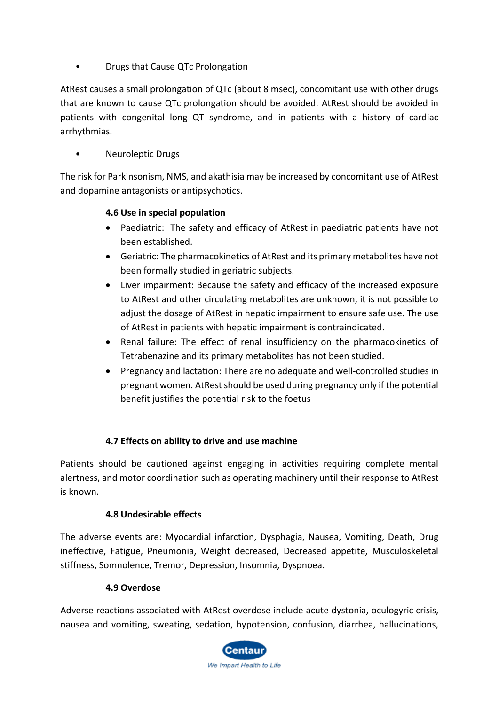• Drugs that Cause QTc Prolongation

AtRest causes a small prolongation of QTc (about 8 msec), concomitant use with other drugs that are known to cause QTc prolongation should be avoided. AtRest should be avoided in patients with congenital long QT syndrome, and in patients with a history of cardiac arrhythmias.

• Neuroleptic Drugs

The risk for Parkinsonism, NMS, and akathisia may be increased by concomitant use of AtRest and dopamine antagonists or antipsychotics.

### **4.6 Use in special population**

- Paediatric: The safety and efficacy of AtRest in paediatric patients have not been established.
- Geriatric: The pharmacokinetics of AtRest and its primary metabolites have not been formally studied in geriatric subjects.
- Liver impairment: Because the safety and efficacy of the increased exposure to AtRest and other circulating metabolites are unknown, it is not possible to adjust the dosage of AtRest in hepatic impairment to ensure safe use. The use of AtRest in patients with hepatic impairment is contraindicated.
- Renal failure: The effect of renal insufficiency on the pharmacokinetics of Tetrabenazine and its primary metabolites has not been studied.
- Pregnancy and lactation: There are no adequate and well-controlled studies in pregnant women. AtRest should be used during pregnancy only if the potential benefit justifies the potential risk to the foetus

## **4.7 Effects on ability to drive and use machine**

Patients should be cautioned against engaging in activities requiring complete mental alertness, and motor coordination such as operating machinery until their response to AtRest is known.

### **4.8 Undesirable effects**

The adverse events are: Myocardial infarction, Dysphagia, Nausea, Vomiting, Death, Drug ineffective, Fatigue, Pneumonia, Weight decreased, Decreased appetite, Musculoskeletal stiffness, Somnolence, Tremor, Depression, Insomnia, Dyspnoea.

### **4.9 Overdose**

Adverse reactions associated with AtRest overdose include acute dystonia, oculogyric crisis, nausea and vomiting, sweating, sedation, hypotension, confusion, diarrhea, hallucinations,

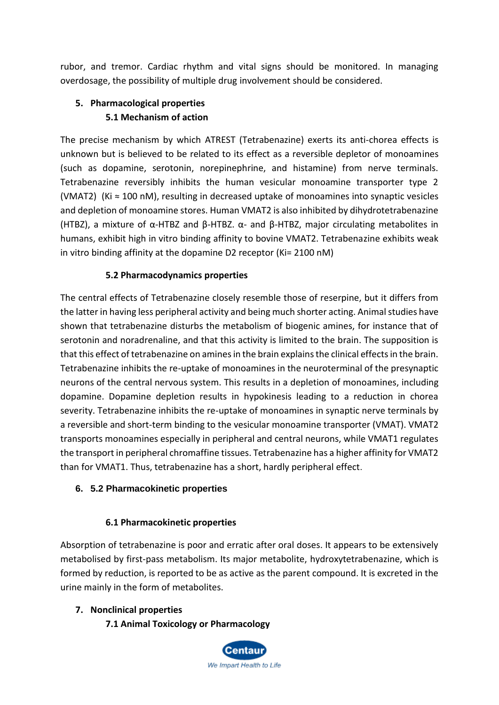rubor, and tremor. Cardiac rhythm and vital signs should be monitored. In managing overdosage, the possibility of multiple drug involvement should be considered.

# **5. Pharmacological properties 5.1 Mechanism of action**

The precise mechanism by which ATREST (Tetrabenazine) exerts its anti-chorea effects is unknown but is believed to be related to its effect as a reversible depletor of monoamines (such as dopamine, serotonin, norepinephrine, and histamine) from nerve terminals. Tetrabenazine reversibly inhibits the human vesicular monoamine transporter type 2 (VMAT2) (Ki ≈ 100 nM), resulting in decreased uptake of monoamines into synaptic vesicles and depletion of monoamine stores. Human VMAT2 is also inhibited by dihydrotetrabenazine (HTBZ), a mixture of α-HTBZ and β-HTBZ. α- and β-HTBZ, major circulating metabolites in humans, exhibit high in vitro binding affinity to bovine VMAT2. Tetrabenazine exhibits weak in vitro binding affinity at the dopamine D2 receptor (Ki= 2100 nM)

## **5.2 Pharmacodynamics properties**

The central effects of Tetrabenazine closely resemble those of reserpine, but it differs from the latter in having less peripheral activity and being much shorter acting. Animal studies have shown that tetrabenazine disturbs the metabolism of biogenic amines, for instance that of serotonin and noradrenaline, and that this activity is limited to the brain. The supposition is that this effect of tetrabenazine on amines in the brain explains the clinical effects in the brain. Tetrabenazine inhibits the re-uptake of monoamines in the neuroterminal of the presynaptic neurons of the central nervous system. This results in a depletion of monoamines, including dopamine. Dopamine depletion results in hypokinesis leading to a reduction in chorea severity. Tetrabenazine inhibits the re-uptake of monoamines in synaptic nerve terminals by a reversible and short-term binding to the vesicular monoamine transporter (VMAT). VMAT2 transports monoamines especially in peripheral and central neurons, while VMAT1 regulates the transport in peripheral chromaffine tissues. Tetrabenazine has a higher affinity for VMAT2 than for VMAT1. Thus, tetrabenazine has a short, hardly peripheral effect.

## **6. 5.2 Pharmacokinetic properties**

## **6.1 Pharmacokinetic properties**

Absorption of tetrabenazine is poor and erratic after oral doses. It appears to be extensively metabolised by first-pass metabolism. Its major metabolite, hydroxytetrabenazine, which is formed by reduction, is reported to be as active as the parent compound. It is excreted in the urine mainly in the form of metabolites.

## **7. Nonclinical properties**

**7.1 Animal Toxicology or Pharmacology**

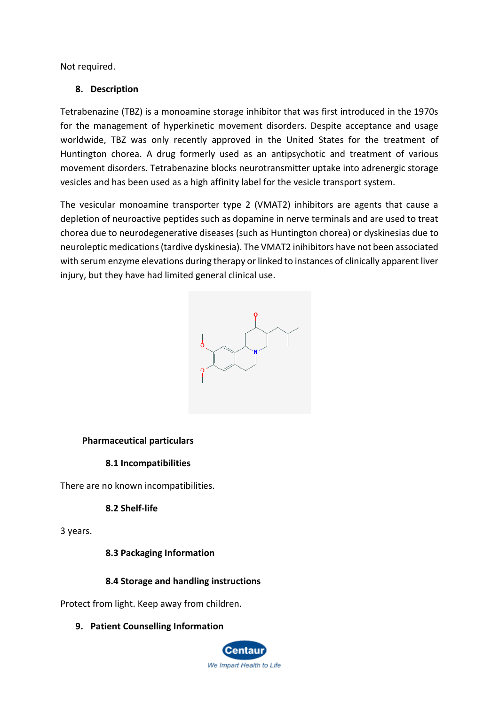Not required.

### **8. Description**

Tetrabenazine (TBZ) is a monoamine storage inhibitor that was first introduced in the 1970s for the management of hyperkinetic movement disorders. Despite acceptance and usage worldwide, TBZ was only recently approved in the United States for the treatment of Huntington chorea. A drug formerly used as an antipsychotic and treatment of various movement disorders. Tetrabenazine blocks neurotransmitter uptake into adrenergic storage vesicles and has been used as a high affinity label for the vesicle transport system.

The vesicular monoamine transporter type 2 (VMAT2) inhibitors are agents that cause a depletion of neuroactive peptides such as dopamine in nerve terminals and are used to treat chorea due to neurodegenerative diseases (such as Huntington chorea) or dyskinesias due to neuroleptic medications (tardive dyskinesia). The VMAT2 inihibitors have not been associated with serum enzyme elevations during therapy or linked to instances of clinically apparent liver injury, but they have had limited general clinical use.



#### **Pharmaceutical particulars**

#### **8.1 Incompatibilities**

There are no known incompatibilities.

### **8.2 Shelf-life**

3 years.

#### **8.3 Packaging Information**

### **8.4 Storage and handling instructions**

Protect from light. Keep away from children.

#### **9. Patient Counselling Information**